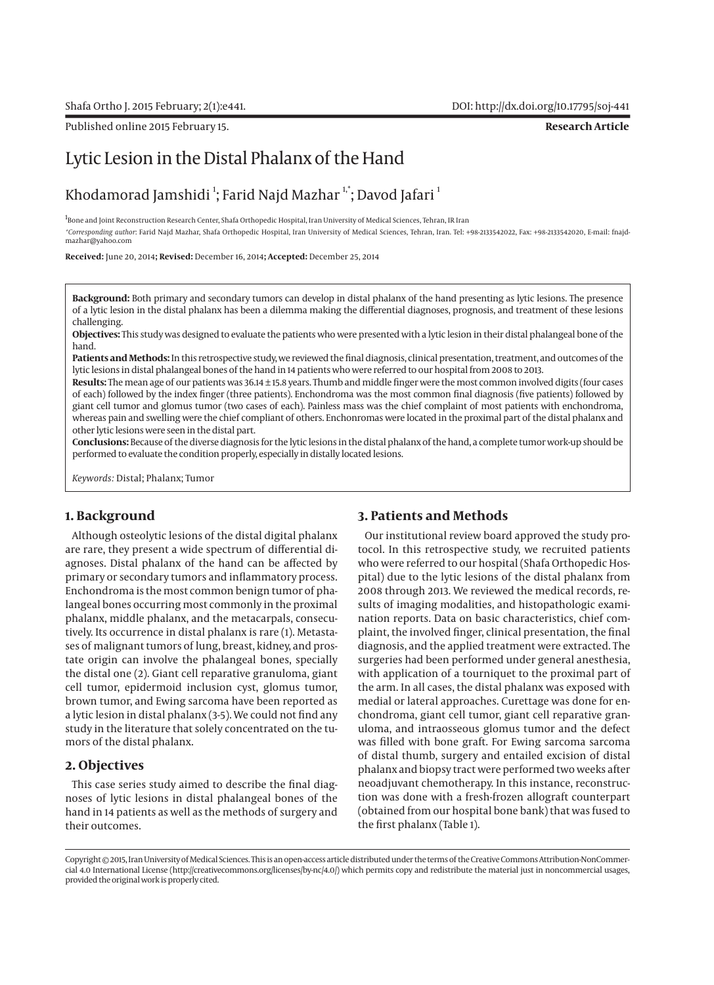Published online 2015 February 15. **Research Article**

# Lytic Lesion in the Distal Phalanx of the Hand

## Khodamorad Jamshidi  $^{\rm l}$ ; Farid Najd Mazhar  $^{\rm l, *}$ ; Davod Jafari  $^{\rm l}$

1<br>Bone and Joint Reconstruction Research Center, Shafa Orthopedic Hospital, Iran University of Medical Sciences, Tehran, IR Iran *\*Corresponding author*: Farid Najd Mazhar, Shafa Orthopedic Hospital, Iran University of Medical Sciences, Tehran, Iran. Tel: +98-2133542022, Fax: +98-2133542020, E-mail: fnajdmazhar@yahoo.com

**Received:** June 20, 2014**; Revised:** December 16, 2014**; Accepted:** December 25, 2014

**Background:** Both primary and secondary tumors can develop in distal phalanx of the hand presenting as lytic lesions. The presence of a lytic lesion in the distal phalanx has been a dilemma making the differential diagnoses, prognosis, and treatment of these lesions challenging.

**Objectives:** This study was designed to evaluate the patients who were presented with a lytic lesion in their distal phalangeal bone of the hand.

**Patients and Methods:** In this retrospective study, we reviewed the final diagnosis, clinical presentation, treatment, and outcomes of the lytic lesions in distal phalangeal bones of the hand in 14 patients who were referred to our hospital from 2008 to 2013.

**Results:** The mean age of our patients was 36.14 ± 15.8 years. Thumb and middle finger were the most common involved digits (four cases of each) followed by the index finger (three patients). Enchondroma was the most common final diagnosis (five patients) followed by giant cell tumor and glomus tumor (two cases of each). Painless mass was the chief complaint of most patients with enchondroma, whereas pain and swelling were the chief compliant of others. Enchonromas were located in the proximal part of the distal phalanx and other lytic lesions were seen in the distal part.

**Conclusions:** Because of the diverse diagnosis for the lytic lesions in the distal phalanx of the hand, a complete tumor work-up should be performed to evaluate the condition properly, especially in distally located lesions.

*Keywords:* Distal; Phalanx; Tumor

#### **1. Background**

Although osteolytic lesions of the distal digital phalanx are rare, they present a wide spectrum of differential diagnoses. Distal phalanx of the hand can be affected by primary or secondary tumors and inflammatory process. Enchondroma is the most common benign tumor of phalangeal bones occurring most commonly in the proximal phalanx, middle phalanx, and the metacarpals, consecutively. Its occurrence in distal phalanx is rare (1). Metastases of malignant tumors of lung, breast, kidney, and prostate origin can involve the phalangeal bones, specially the distal one (2). Giant cell reparative granuloma, giant cell tumor, epidermoid inclusion cyst, glomus tumor, brown tumor, and Ewing sarcoma have been reported as a lytic lesion in distal phalanx (3-5). We could not find any study in the literature that solely concentrated on the tumors of the distal phalanx.

#### **2. Objectives**

This case series study aimed to describe the final diagnoses of lytic lesions in distal phalangeal bones of the hand in 14 patients as well as the methods of surgery and their outcomes.

## **3. Patients and Methods**

Our institutional review board approved the study protocol. In this retrospective study, we recruited patients who were referred to our hospital (Shafa Orthopedic Hospital) due to the lytic lesions of the distal phalanx from 2008 through 2013. We reviewed the medical records, results of imaging modalities, and histopathologic examination reports. Data on basic characteristics, chief complaint, the involved finger, clinical presentation, the final diagnosis, and the applied treatment were extracted. The surgeries had been performed under general anesthesia, with application of a tourniquet to the proximal part of the arm. In all cases, the distal phalanx was exposed with medial or lateral approaches. Curettage was done for enchondroma, giant cell tumor, giant cell reparative granuloma, and intraosseous glomus tumor and the defect was filled with bone graft. For Ewing sarcoma sarcoma of distal thumb, surgery and entailed excision of distal phalanx and biopsy tract were performed two weeks after neoadjuvant chemotherapy. In this instance, reconstruction was done with a fresh-frozen allograft counterpart (obtained from our hospital bone bank) that was fused to the first phalanx (Table 1).

Copyright © 2015, Iran University of Medical Sciences. This is an open-access article distributed under the terms of the Creative Commons Attribution-NonCommercial 4.0 International License (http://creativecommons.org/licenses/by-nc/4.0/) which permits copy and redistribute the material just in noncommercial usages, provided the original work is properly cited.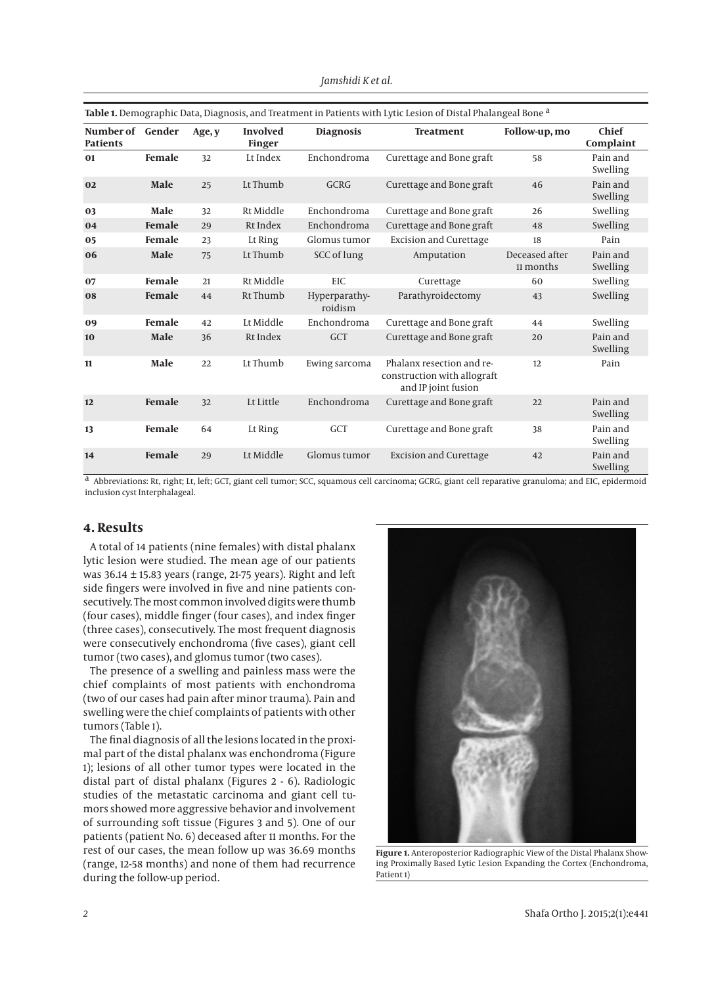| Table 1. Demographic Data, Diagnosis, and Treatment in Patients with Lytic Lesion of Distal Phalangeal Bone <sup>a</sup> |               |        |                                  |                          |                                                                                 |                             |                      |
|--------------------------------------------------------------------------------------------------------------------------|---------------|--------|----------------------------------|--------------------------|---------------------------------------------------------------------------------|-----------------------------|----------------------|
| Number of<br><b>Patients</b>                                                                                             | Gender        | Age, y | <b>Involved</b><br><b>Finger</b> | <b>Diagnosis</b>         | <b>Treatment</b>                                                                | Follow-up, mo               | Chief<br>Complaint   |
| 01                                                                                                                       | Female        | 32     | Lt Index                         | Enchondroma              | Curettage and Bone graft                                                        | 58                          | Pain and<br>Swelling |
| 02                                                                                                                       | Male          | 25     | Lt Thumb                         | <b>GCRG</b>              | Curettage and Bone graft                                                        | 46                          | Pain and<br>Swelling |
| 03                                                                                                                       | Male          | 32     | Rt Middle                        | Enchondroma              | Curettage and Bone graft                                                        | 26                          | Swelling             |
| 04                                                                                                                       | Female        | 29     | Rt Index                         | Enchondroma              | Curettage and Bone graft                                                        | 48                          | Swelling             |
| 05                                                                                                                       | <b>Female</b> | 23     | Lt Ring                          | Glomus tumor             | <b>Excision and Curettage</b>                                                   | 18                          | Pain                 |
| 06                                                                                                                       | Male          | 75     | Lt Thumb                         | SCC of lung              | Amputation                                                                      | Deceased after<br>11 months | Pain and<br>Swelling |
| 07                                                                                                                       | Female        | 21     | Rt Middle                        | <b>EIC</b>               | Curettage                                                                       | 60                          | Swelling             |
| 08                                                                                                                       | Female        | 44     | Rt Thumb                         | Hyperparathy-<br>roidism | Parathyroidectomy                                                               | 43                          | Swelling             |
| 09                                                                                                                       | Female        | 42     | Lt Middle                        | Enchondroma              | Curettage and Bone graft                                                        | 44                          | Swelling             |
| 10                                                                                                                       | Male          | 36     | Rt Index                         | <b>GCT</b>               | Curettage and Bone graft                                                        | 20                          | Pain and<br>Swelling |
| 11                                                                                                                       | Male          | 22     | Lt Thumb                         | Ewing sarcoma            | Phalanx resection and re-<br>construction with allograft<br>and IP joint fusion | 12                          | Pain                 |
| 12                                                                                                                       | Female        | 32     | Lt Little                        | Enchondroma              | Curettage and Bone graft                                                        | 22                          | Pain and<br>Swelling |
| 13                                                                                                                       | <b>Female</b> | 64     | Lt Ring                          | <b>GCT</b>               | Curettage and Bone graft                                                        | 38                          | Pain and<br>Swelling |
| 14                                                                                                                       | Female        | 29     | Lt Middle                        | Glomus tumor             | <b>Excision and Curettage</b>                                                   | 42                          | Pain and<br>Swelling |

*Jamshidi K et al.*

a Abbreviations: Rt, right; Lt, left; GCT, giant cell tumor; SCC, squamous cell carcinoma; GCRG, giant cell reparative granuloma; and EIC, epidermoid inclusion cyst Interphalageal.

#### **4. Results**

A total of 14 patients (nine females) with distal phalanx lytic lesion were studied. The mean age of our patients was  $36.14 \pm 15.83$  years (range, 21-75 years). Right and left side fingers were involved in five and nine patients consecutively. The most common involved digits were thumb (four cases), middle finger (four cases), and index finger (three cases), consecutively. The most frequent diagnosis were consecutively enchondroma (five cases), giant cell tumor (two cases), and glomus tumor (two cases).

The presence of a swelling and painless mass were the chief complaints of most patients with enchondroma (two of our cases had pain after minor trauma). Pain and swelling were the chief complaints of patients with other tumors (Table 1).

The final diagnosis of all the lesions located in the proximal part of the distal phalanx was enchondroma (Figure 1); lesions of all other tumor types were located in the distal part of distal phalanx (Figures 2 - 6). Radiologic studies of the metastatic carcinoma and giant cell tumors showed more aggressive behavior and involvement of surrounding soft tissue (Figures 3 and 5). One of our patients (patient No. 6) deceased after 11 months. For the rest of our cases, the mean follow up was 36.69 months (range, 12-58 months) and none of them had recurrence during the follow-up period.



**Figure 1.** Anteroposterior Radiographic View of the Distal Phalanx Showing Proximally Based Lytic Lesion Expanding the Cortex (Enchondroma, Patient 1)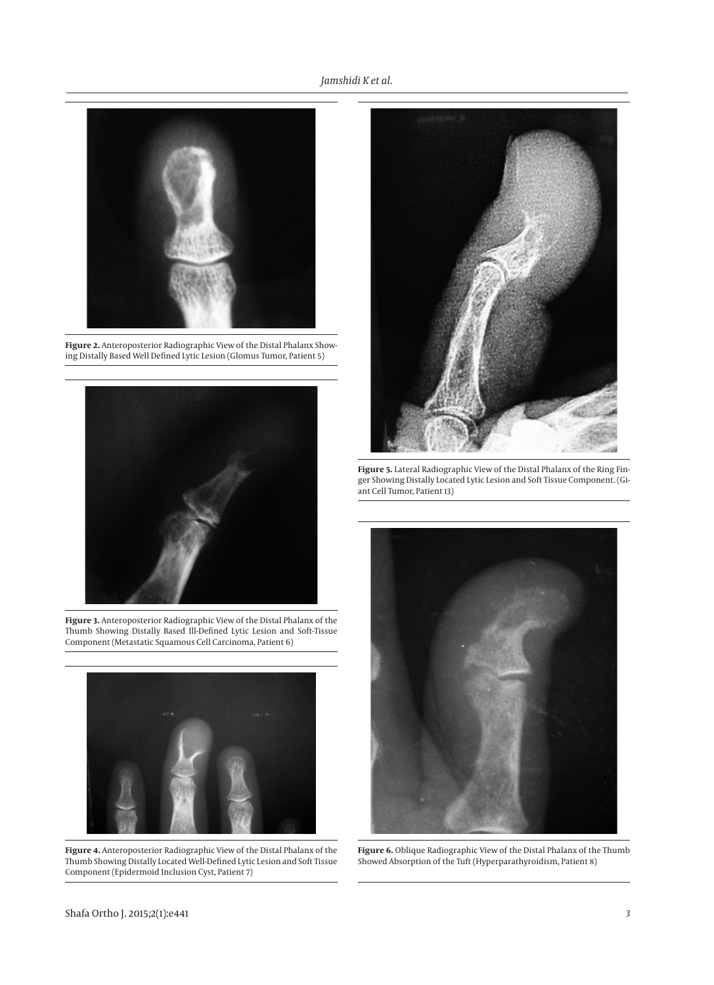#### *Jamshidi K et al.*



**Figure 2.** Anteroposterior Radiographic View of the Distal Phalanx Showing Distally Based Well Defined Lytic Lesion (Glomus Tumor, Patient 5)



**Figure 3.** Anteroposterior Radiographic View of the Distal Phalanx of the Thumb Showing Distally Based Ill-Defined Lytic Lesion and Soft-Tissue Component (Metastatic Squamous Cell Carcinoma, Patient 6)



**Figure 4.** Anteroposterior Radiographic View of the Distal Phalanx of the Thumb Showing Distally Located Well-Defined Lytic Lesion and Soft Tissue Component (Epidermoid Inclusion Cyst, Patient 7)



**Figure 5.** Lateral Radiographic View of the Distal Phalanx of the Ring Finger Showing Distally Located Lytic Lesion and Soft Tissue Component. (Giant Cell Tumor, Patient 13)



**Figure 6.** Oblique Radiographic View of the Distal Phalanx of the Thumb Showed Absorption of the Tuft (Hyperparathyroidism, Patient 8)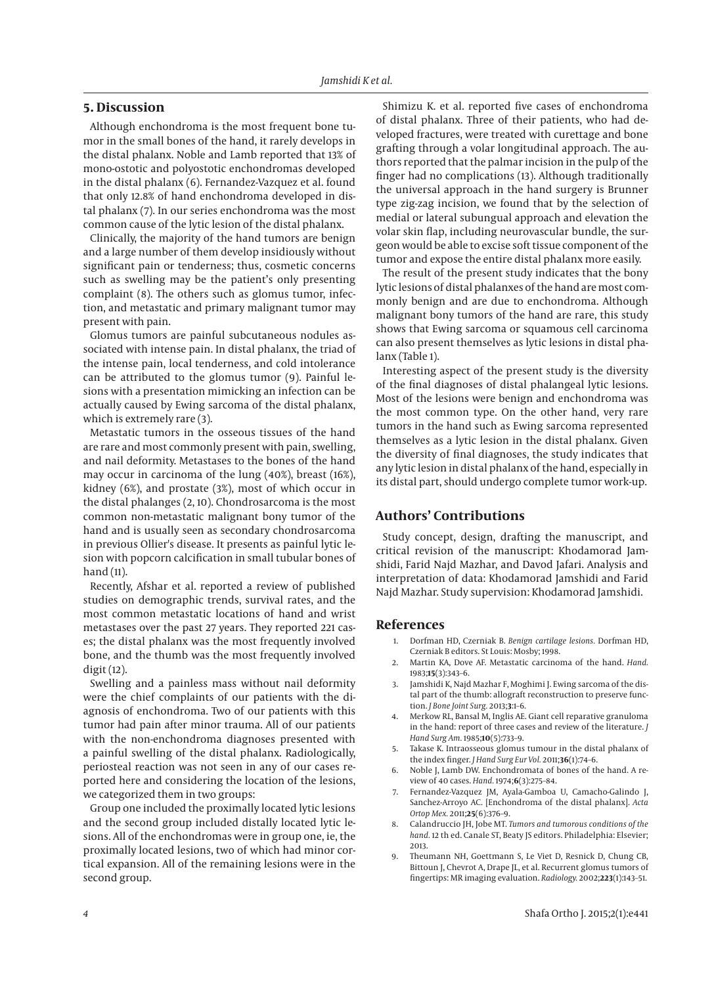#### **5. Discussion**

Although enchondroma is the most frequent bone tumor in the small bones of the hand, it rarely develops in the distal phalanx. Noble and Lamb reported that 13% of mono-ostotic and polyostotic enchondromas developed in the distal phalanx (6). Fernandez-Vazquez et al. found that only 12.8% of hand enchondroma developed in distal phalanx (7). In our series enchondroma was the most common cause of the lytic lesion of the distal phalanx.

Clinically, the majority of the hand tumors are benign and a large number of them develop insidiously without significant pain or tenderness; thus, cosmetic concerns such as swelling may be the patient's only presenting complaint (8). The others such as glomus tumor, infection, and metastatic and primary malignant tumor may present with pain.

Glomus tumors are painful subcutaneous nodules associated with intense pain. In distal phalanx, the triad of the intense pain, local tenderness, and cold intolerance can be attributed to the glomus tumor (9). Painful lesions with a presentation mimicking an infection can be actually caused by Ewing sarcoma of the distal phalanx, which is extremely rare (3).

Metastatic tumors in the osseous tissues of the hand are rare and most commonly present with pain, swelling, and nail deformity. Metastases to the bones of the hand may occur in carcinoma of the lung (40%), breast (16%), kidney (6%), and prostate (3%), most of which occur in the distal phalanges (2, 10). Chondrosarcoma is the most common non-metastatic malignant bony tumor of the hand and is usually seen as secondary chondrosarcoma in previous Ollier's disease. It presents as painful lytic lesion with popcorn calcification in small tubular bones of hand (11).

Recently, Afshar et al. reported a review of published studies on demographic trends, survival rates, and the most common metastatic locations of hand and wrist metastases over the past 27 years. They reported 221 cases; the distal phalanx was the most frequently involved bone, and the thumb was the most frequently involved digit (12).

Swelling and a painless mass without nail deformity were the chief complaints of our patients with the diagnosis of enchondroma. Two of our patients with this tumor had pain after minor trauma. All of our patients with the non-enchondroma diagnoses presented with a painful swelling of the distal phalanx. Radiologically, periosteal reaction was not seen in any of our cases reported here and considering the location of the lesions, we categorized them in two groups:

Group one included the proximally located lytic lesions and the second group included distally located lytic lesions. All of the enchondromas were in group one, ie, the proximally located lesions, two of which had minor cortical expansion. All of the remaining lesions were in the second group.

Shimizu K. et al. reported five cases of enchondroma of distal phalanx. Three of their patients, who had developed fractures, were treated with curettage and bone grafting through a volar longitudinal approach. The authors reported that the palmar incision in the pulp of the finger had no complications (13). Although traditionally the universal approach in the hand surgery is Brunner type zig-zag incision, we found that by the selection of medial or lateral subungual approach and elevation the volar skin flap, including neurovascular bundle, the surgeon would be able to excise soft tissue component of the tumor and expose the entire distal phalanx more easily.

The result of the present study indicates that the bony lytic lesions of distal phalanxes of the hand are most commonly benign and are due to enchondroma. Although malignant bony tumors of the hand are rare, this study shows that Ewing sarcoma or squamous cell carcinoma can also present themselves as lytic lesions in distal phalanx (Table 1).

Interesting aspect of the present study is the diversity of the final diagnoses of distal phalangeal lytic lesions. Most of the lesions were benign and enchondroma was the most common type. On the other hand, very rare tumors in the hand such as Ewing sarcoma represented themselves as a lytic lesion in the distal phalanx. Given the diversity of final diagnoses, the study indicates that any lytic lesion in distal phalanx of the hand, especially in its distal part, should undergo complete tumor work-up.

### **Authors' Contributions**

Study concept, design, drafting the manuscript, and critical revision of the manuscript: Khodamorad Jamshidi, Farid Najd Mazhar, and Davod Jafari. Analysis and interpretation of data: Khodamorad Jamshidi and Farid Najd Mazhar. Study supervision: Khodamorad Jamshidi.

#### **References**

- 1. Dorfman HD, Czerniak B. *Benign cartilage lesions.* Dorfman HD, Czerniak B editors. St Louis: Mosby; 1998.
- 2. Martin KA, Dove AF. Metastatic carcinoma of the hand. *Hand.* 1983;**15**(3):343–6.
- 3. Jamshidi K, Najd Mazhar F, Moghimi J. Ewing sarcoma of the distal part of the thumb: allograft reconstruction to preserve function. *J Bone Joint Surg.* 2013;**3**:1–6.
- 4. Merkow RL, Bansal M, Inglis AE. Giant cell reparative granuloma in the hand: report of three cases and review of the literature. *J Hand Surg Am.* 1985;**10**(5):733–9.
- 5. Takase K. Intraosseous glomus tumour in the distal phalanx of the index finger. *J Hand Surg Eur Vol.* 2011;**36**(1):74–6.
- 6. Noble J, Lamb DW. Enchondromata of bones of the hand. A review of 40 cases. *Hand.* 1974;**6**(3):275–84.
- 7. Fernandez-Vazquez JM, Ayala-Gamboa U, Camacho-Galindo J, Sanchez-Arroyo AC. [Enchondroma of the distal phalanx]. *Acta Ortop Mex.* 2011;**25**(6):376–9.
- 8. Calandruccio JH, Jobe MT. *Tumors and tumorous conditions of the hand.* 12 th ed. Canale ST, Beaty JS editors. Philadelphia: Elsevier; 2013.
- 9. Theumann NH, Goettmann S, Le Viet D, Resnick D, Chung CB, Bittoun J, Chevrot A, Drape JL, et al. Recurrent glomus tumors of fingertips: MR imaging evaluation. *Radiology.* 2002;**223**(1):143–51.